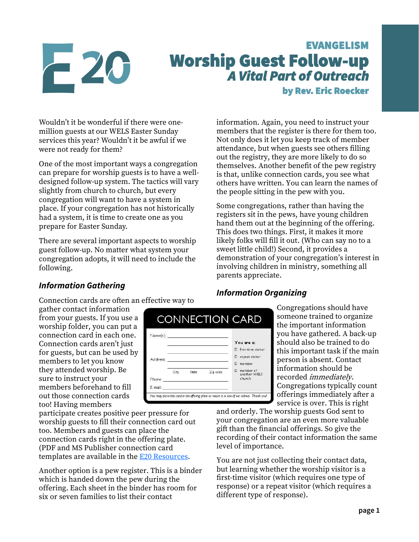# $-20$

## EVANGELISM Worship Guest Follow-up *A Vital Part of Outreach*  by Rev. Eric Roecker

Wouldn't it be wonderful if there were onemillion guests at our WELS Easter Sunday services this year? Wouldn't it be awful if we were not ready for them?

One of the most important ways a congregation can prepare for worship guests is to have a welldesigned follow-up system. The tactics will vary slightly from church to church, but every congregation will want to have a system in place. If your congregation has not historically had a system, it is time to create one as you prepare for Easter Sunday.

There are several important aspects to worship guest follow-up. No matter what system your congregation adopts, it will need to include the following.

information. Again, you need to instruct your members that the register is there for them too. Not only does it let you keep track of member attendance, but when guests see others filling out the registry, they are more likely to do so themselves. Another benefit of the pew registry is that, unlike connection cards, you see what others have written. You can learn the names of the people sitting in the pew with you.

Some congregations, rather than having the registers sit in the pews, have young children hand them out at the beginning of the offering. This does two things. First, it makes it more likely folks will fill it out. (Who can say no to a sweet little child!) Second, it provides a demonstration of your congregation's interest in involving children in ministry, something all parents appreciate.

#### *Information Gathering*

Connection cards are often an effective way to

Name(s):

Address:

Phone:

F-mail:

City

State

gather contact information from your guests. If you use a worship folder, you can put a connection card in each one. Connection cards aren't just for guests, but can be used by members to let you know they attended worship. Be sure to instruct your members beforehand to fill out those connection cards too! Having members

participate creates positive peer pressure for worship guests to fill their connection card out too. Members and guests can place the connection cards right in the offering plate. (PDF and MS Publisher connection card templates are available in the [E20 Resources.](https://welscongregationalservices.net/e20/)

Another option is a pew register. This is a binder which is handed down the pew during the offering. Each sheet in the binder has room for six or seven families to list their contact

### *Information Organizing*

You are a:  $\Box$  first-time visitor  $\square$  repeat visitor

**D** member  $\begin{tabular}{ll} \Box & member of \\ \noalign{\textbf{another WELS}} \end{tabular}$ 

church

**CONNECTION CARD** 

Zip code

You may place this card in the offering plate or return it to one of our ushers. Thank you!

Congregations should have someone trained to organize the important information you have gathered. A back-up should also be trained to do this important task if the main person is absent. Contact information should be recorded immediately. Congregations typically count offerings immediately after a service is over. This is right

and orderly. The worship guests God sent to your congregation are an even more valuable gift than the financial offerings. So give the recording of their contact information the same level of importance.

You are not just collecting their contact data, but learning whether the worship visitor is a first-time visitor (which requires one type of response) or a repeat visitor (which requires a different type of response).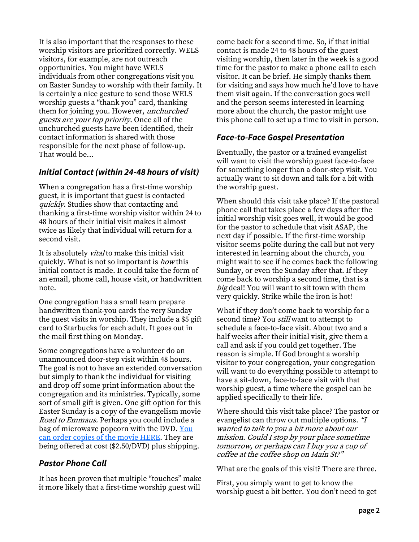It is also important that the responses to these worship visitors are prioritized correctly. WELS visitors, for example, are not outreach opportunities. You might have WELS individuals from other congregations visit you on Easter Sunday to worship with their family. It is certainly a nice gesture to send those WELS worship guests a "thank you" card, thanking them for joining you. However, unchurched guests are your top priority. Once all of the unchurched guests have been identified, their contact information is shared with those responsible for the next phase of follow-up. That would be...

#### *Initial Contact (within 24-48 hours of visit)*

When a congregation has a first-time worship guest, it is important that guest is contacted quickly. Studies show that contacting and thanking a first-time worship visitor within 24 to 48 hours of their initial visit makes it almost twice as likely that individual will return for a second visit.

It is absolutely *vital* to make this initial visit quickly. What is not so important is *how* this initial contact is made. It could take the form of an email, phone call, house visit, or handwritten note.

One congregation has a small team prepare handwritten thank-you cards the very Sunday the guest visits in worship. They include a \$5 gift card to Starbucks for each adult. It goes out in the mail first thing on Monday.

Some congregations have a volunteer do an unannounced door-step visit within 48 hours. The goal is not to have an extended conversation but simply to thank the individual for visiting and drop off some print information about the congregation and its ministries. Typically, some sort of small gift is given. One gift option for this Easter Sunday is a copy of the evangelism movie *Road to Emmaus.* Perhaps you could include a bag of microwave popcorn with the DVD. You [can order copies of the movie HERE.](https://online.nph.net/road-to-emmaus-the-greatest-mystery-revlealed-dvd.html) They are being offered at cost (\$2.50/DVD) plus shipping.

#### *Pastor Phone Call*

It has been proven that multiple "touches" make it more likely that a first-time worship guest will

come back for a second time. So, if that initial contact is made 24 to 48 hours of the guest visiting worship, then later in the week is a good time for the pastor to make a phone call to each visitor. It can be brief. He simply thanks them for visiting and says how much he'd love to have them visit again. If the conversation goes well and the person seems interested in learning more about the church, the pastor might use this phone call to set up a time to visit in person.

#### *Face-to-Face Gospel Presentation*

Eventually, the pastor or a trained evangelist will want to visit the worship guest face-to-face for something longer than a door-step visit. You actually want to sit down and talk for a bit with the worship guest.

When should this visit take place? If the pastoral phone call that takes place a few days after the initial worship visit goes well, it would be good for the pastor to schedule that visit ASAP, the next day if possible. If the first-time worship visitor seems polite during the call but not very interested in learning about the church, you might wait to see if he comes back the following Sunday, or even the Sunday after that. If they come back to worship a second time, that is a big deal! You will want to sit town with them very quickly. Strike while the iron is hot!

What if they don't come back to worship for a second time? You *still* want to attempt to schedule a face-to-face visit. About two and a half weeks after their initial visit, give them a call and ask if you could get together. The reason is simple. If God brought a worship visitor to your congregation, your congregation will want to do everything possible to attempt to have a sit-down, face-to-face visit with that worship guest, a time where the gospel can be applied specifically to their life.

Where should this visit take place? The pastor or evangelist can throw out multiple options. "<sup>I</sup> wanted to talk to you a bit more about our mission. Could I stop by your place sometime tomorrow, or perhaps can I buy you a cup of coffee at the coffee shop on Main St?"

What are the goals of this visit? There are three.

First, you simply want to get to know the worship guest a bit better. You don't need to get